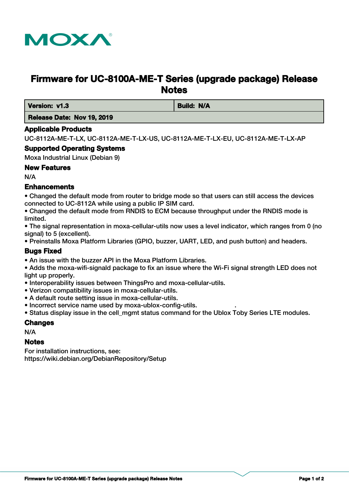

# **Firmware for UC-8100A-ME-T Series (upgrade package) Release Notes**

**Version: v1.3 Build: N/A** 

 **Release Date: Nov 19, 2019**

## **Applicable Products**

UC-8112A-ME-T-LX, UC-8112A-ME-T-LX-US, UC-8112A-ME-T-LX-EU, UC-8112A-ME-T-LX-AP

## **Supported Operating Systems**

Moxa Industrial Linux (Debian 9)

## **New Features**

N/A

## **Enhancements**

• Changed the default mode from router to bridge mode so that users can still access the devices connected to UC-8112A while using a public IP SIM card.

• Changed the default mode from RNDIS to ECM because throughput under the RNDIS mode is limited.

• The signal representation in moxa-cellular-utils now uses a level indicator, which ranges from 0 (no signal) to 5 (excellent).

• Preinstalls Moxa Platform Libraries (GPIO, buzzer, UART, LED, and push button) and headers.

## **Bugs Fixed**

- An issue with the buzzer API in the Moxa Platform Libraries.
- Adds the moxa-wifi-signald package to fix an issue where the Wi-Fi signal strength LED does not light up properly.
- Interoperability issues between ThingsPro and moxa-cellular-utils.
- Verizon compatibility issues in moxa-cellular-utils.
- A default route setting issue in moxa-cellular-utils.
- Incorrect service name used by moxa-ublox-config-utils. .
- Status display issue in the cell mgmt status command for the Ublox Toby Series LTE modules.

#### **Changes**

N/A

#### **Notes**

For installation instructions, see: https://wiki.debian.org/DebianRepository/Setup